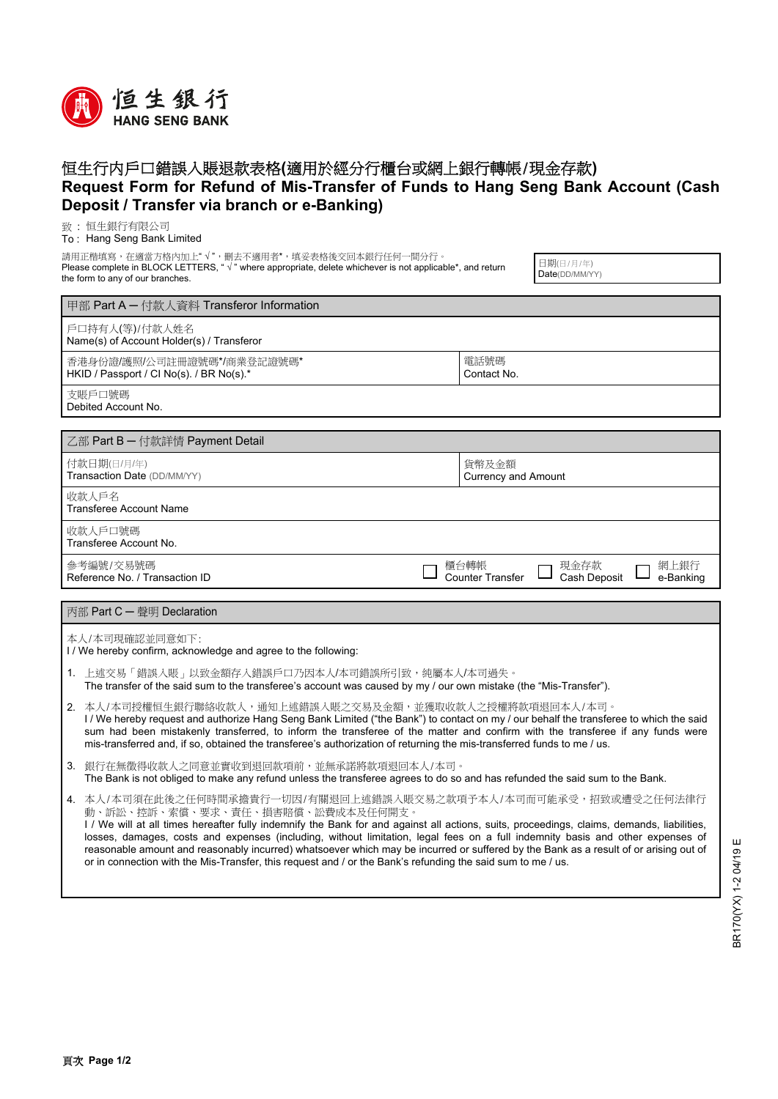

## 恒生行内戶口錯誤入賬退款表格**(**適用於經分行櫃台或網上銀行轉帳/現金存款**) Request Form for Refund of Mis-Transfer of Funds to Hang Seng Bank Account (Cash Deposit / Transfer via branch or e-Banking)**

致 : 恒生銀行有限公司

To : Hang Seng Bank Limited

請用正楷填寫,在適當方格內加上" √ ",刪去不適用者\*,填妥表格後交回本銀行任何一間分行。

Please complete in BLOCK LETTERS, "√" where appropriate, delete whichever is not applicable\*, and return the form to any of our branches.

日期(日/月/年) Date(DD/MM/YY)

| 甲部 Part A – 付款人資料 Transferor Information                               |                                     |                      |                   |
|------------------------------------------------------------------------|-------------------------------------|----------------------|-------------------|
| 戶口持有人(等)/付款人姓名<br>Name(s) of Account Holder(s) / Transferor            |                                     |                      |                   |
| 香港身份證/護照/公司註冊證號碼*/商業登記證號碼*<br>HKID / Passport / CI No(s). / BR No(s) * | 電話號碼<br>Contact No.                 |                      |                   |
| 支賬戶口號碼<br>Debited Account No.                                          |                                     |                      |                   |
|                                                                        |                                     |                      |                   |
| ■ 乙部 Part B – 付款詳情 Payment Detail                                      |                                     |                      |                   |
| 付款日期(日/月/年)<br>Transaction Date (DD/MM/YY)                             | 貨幣及金額<br><b>Currency and Amount</b> |                      |                   |
| 收款人戶名<br><b>Transferee Account Name</b>                                |                                     |                      |                   |
| 收款人戶口號碼<br>Transferee Account No.                                      |                                     |                      |                   |
| 參考編號/交易號碼<br>Reference No. / Transaction ID                            | 櫃台轉帳<br>Counter Transfer            | 現金存款<br>Cash Deposit | 網上銀行<br>e-Banking |
|                                                                        |                                     |                      |                   |
| │ 丙部 Part C — 聲明 Declaration                                           |                                     |                      |                   |
|                                                                        |                                     |                      |                   |

本人/本司現確認並同意如下:

I / We hereby confirm, acknowledge and agree to the following:

- 上述交易「錯誤入賬」以致金額存入錯誤戶口乃因本人/本司錯誤所引致,純屬本人/本司過失。 The transfer of the said sum to the transferee's account was caused by my / our own mistake (the "Mis-Transfer"). 1.
- 2. 本人/本司授權恒生銀行聯絡收款人,通知上述錯誤入賬之交易及金額,並獲取收款人之授權將款項退回本人/本司。 I / We hereby request and authorize Hang Seng Bank Limited ("the Bank") to contact on my / our behalf the transferee to which the said sum had been mistakenly transferred, to inform the transferee of the matter and confirm with the transferee if any funds were mis-transferred and, if so, obtained the transferee's authorization of returning the mis-transferred funds to me / us.
- 3. 銀行在無徵得收款人之同意並實收到退回款項前,並無承諾將款項退回本人/本司。 The Bank is not obliged to make any refund unless the transferee agrees to do so and has refunded the said sum to the Bank.
- 4. 本人/本司須在此後之任何時間承擔貴行一切因/有關退回上述錯誤入賬交易之款項予本人/本司而可能承受,招致或遭受之任何法律行 動、訴訟、控訴、索償、要求、責任、損害賠償、訟費成本及任何開支。 I / We will at all times hereafter fully indemnify the Bank for and against all actions, suits, proceedings, claims, demands, liabilities, losses, damages, costs and expenses (including, without limitation, legal fees on a full indemnity basis and other expenses of reasonable amount and reasonably incurred) whatsoever which may be incurred or suffered by the Bank as a result of or arising out of or in connection with the Mis-Transfer, this request and / or the Bank's refunding the said sum to me / us.